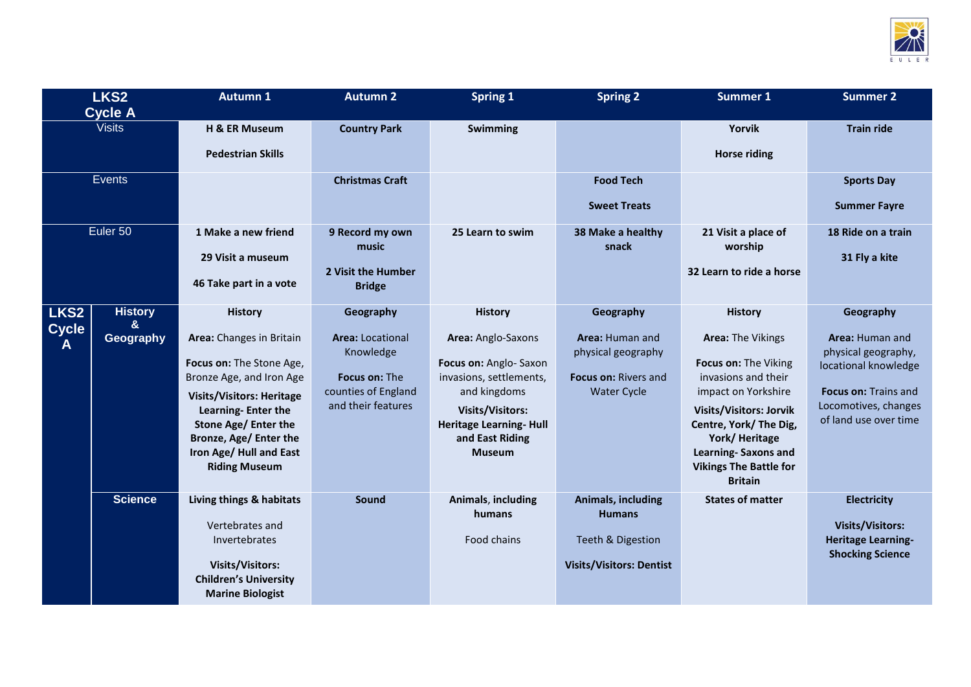

| LKS <sub>2</sub>  |                     | <b>Autumn 1</b>                            | <b>Autumn 2</b>                           | <b>Spring 1</b>                                           | <b>Spring 2</b>                       | <b>Summer 1</b>                                          | <b>Summer 2</b>                              |
|-------------------|---------------------|--------------------------------------------|-------------------------------------------|-----------------------------------------------------------|---------------------------------------|----------------------------------------------------------|----------------------------------------------|
| <b>Cycle A</b>    |                     |                                            |                                           |                                                           |                                       |                                                          |                                              |
| <b>Visits</b>     |                     | H & ER Museum                              | <b>Country Park</b>                       | Swimming                                                  |                                       | Yorvik                                                   | <b>Train ride</b>                            |
|                   |                     | <b>Pedestrian Skills</b>                   |                                           |                                                           |                                       | <b>Horse riding</b>                                      |                                              |
| <b>Events</b>     |                     |                                            | <b>Christmas Craft</b>                    |                                                           | <b>Food Tech</b>                      |                                                          | <b>Sports Day</b>                            |
|                   |                     |                                            |                                           |                                                           | <b>Sweet Treats</b>                   |                                                          | <b>Summer Fayre</b>                          |
| Euler 50          |                     | 1 Make a new friend                        | 9 Record my own<br>music                  | 25 Learn to swim                                          | 38 Make a healthy<br>snack            | 21 Visit a place of<br>worship                           | 18 Ride on a train                           |
|                   |                     | 29 Visit a museum                          |                                           |                                                           |                                       |                                                          | 31 Fly a kite                                |
|                   |                     | 46 Take part in a vote                     | 2 Visit the Humber<br><b>Bridge</b>       |                                                           |                                       | 32 Learn to ride a horse                                 |                                              |
| LKS <sub>2</sub>  | <b>History</b><br>& | <b>History</b>                             | Geography                                 | <b>History</b>                                            | Geography                             | <b>History</b>                                           | Geography                                    |
| <b>Cycle</b><br>A | Geography           | Area: Changes in Britain                   | <b>Area: Locational</b><br>Knowledge      | Area: Anglo-Saxons                                        | Area: Human and<br>physical geography | <b>Area: The Vikings</b>                                 | Area: Human and<br>physical geography,       |
|                   |                     | Focus on: The Stone Age,                   |                                           | Focus on: Anglo- Saxon                                    |                                       | Focus on: The Viking                                     | locational knowledge                         |
|                   |                     | Bronze Age, and Iron Age                   | Focus on: The                             | invasions, settlements,                                   | Focus on: Rivers and                  | invasions and their                                      |                                              |
|                   |                     | <b>Visits/Visitors: Heritage</b>           | counties of England<br>and their features | and kingdoms                                              | <b>Water Cycle</b>                    | impact on Yorkshire                                      | Focus on: Trains and<br>Locomotives, changes |
|                   |                     | Learning-Enter the<br>Stone Age/ Enter the |                                           | <b>Visits/Visitors:</b><br><b>Heritage Learning- Hull</b> |                                       | <b>Visits/Visitors: Jorvik</b><br>Centre, York/ The Dig, | of land use over time                        |
|                   |                     | Bronze, Age/ Enter the                     |                                           | and East Riding                                           |                                       | York/Heritage                                            |                                              |
|                   |                     | Iron Age/ Hull and East                    |                                           | <b>Museum</b>                                             |                                       | <b>Learning-Saxons and</b>                               |                                              |
|                   |                     | <b>Riding Museum</b>                       |                                           |                                                           |                                       | <b>Vikings The Battle for</b><br><b>Britain</b>          |                                              |
|                   | <b>Science</b>      | Living things & habitats                   | Sound                                     | Animals, including<br>humans                              | Animals, including<br><b>Humans</b>   | <b>States of matter</b>                                  | <b>Electricity</b>                           |
|                   |                     | Vertebrates and                            |                                           |                                                           |                                       |                                                          | <b>Visits/Visitors:</b>                      |
|                   |                     | Invertebrates                              |                                           | Food chains                                               | Teeth & Digestion                     |                                                          | <b>Heritage Learning-</b>                    |
|                   |                     | <b>Visits/Visitors:</b>                    |                                           |                                                           | <b>Visits/Visitors: Dentist</b>       |                                                          | <b>Shocking Science</b>                      |
|                   |                     | <b>Children's University</b>               |                                           |                                                           |                                       |                                                          |                                              |
|                   |                     | <b>Marine Biologist</b>                    |                                           |                                                           |                                       |                                                          |                                              |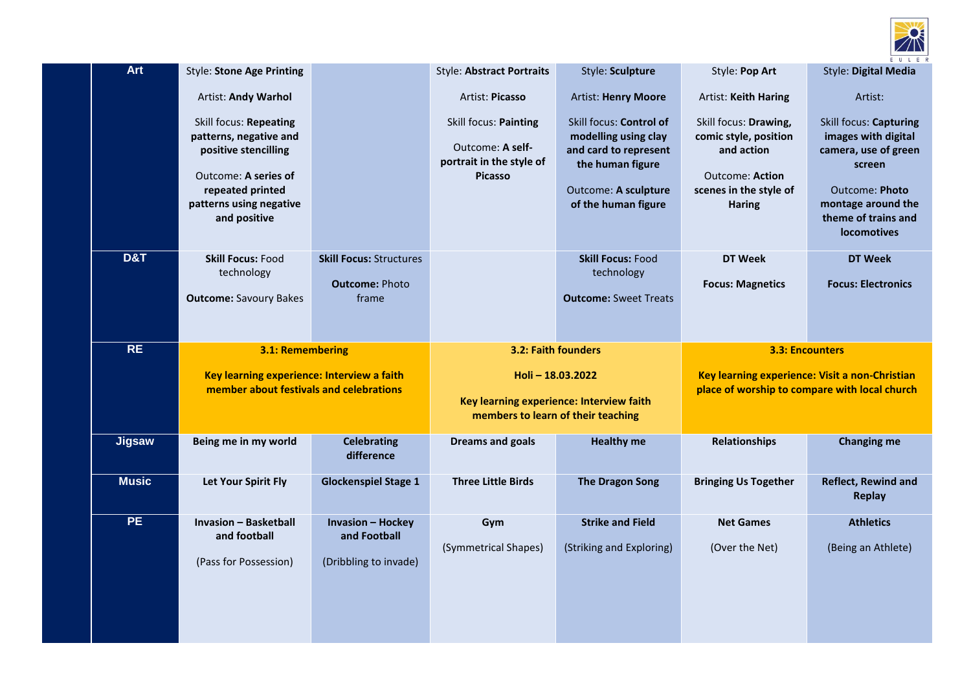

| <b>Art</b>     | <b>Style: Stone Age Printing</b>                                                                                                                                |                                                                  | <b>Style: Abstract Portraits</b>                                                                  | Style: Sculpture                                                                                                                            | Style: Pop Art                                                                                                                    | <b>Style: Digital Media</b>                                                                                                                                                        |
|----------------|-----------------------------------------------------------------------------------------------------------------------------------------------------------------|------------------------------------------------------------------|---------------------------------------------------------------------------------------------------|---------------------------------------------------------------------------------------------------------------------------------------------|-----------------------------------------------------------------------------------------------------------------------------------|------------------------------------------------------------------------------------------------------------------------------------------------------------------------------------|
|                | Artist: Andy Warhol                                                                                                                                             |                                                                  | Artist: Picasso                                                                                   | <b>Artist: Henry Moore</b>                                                                                                                  | Artist: Keith Haring                                                                                                              | Artist:                                                                                                                                                                            |
|                | Skill focus: Repeating<br>patterns, negative and<br>positive stencilling<br>Outcome: A series of<br>repeated printed<br>patterns using negative<br>and positive |                                                                  | Skill focus: Painting<br>Outcome: A self-<br>portrait in the style of<br><b>Picasso</b>           | Skill focus: Control of<br>modelling using clay<br>and card to represent<br>the human figure<br>Outcome: A sculpture<br>of the human figure | Skill focus: Drawing,<br>comic style, position<br>and action<br><b>Outcome: Action</b><br>scenes in the style of<br><b>Haring</b> | <b>Skill focus: Capturing</b><br>images with digital<br>camera, use of green<br>screen<br><b>Outcome: Photo</b><br>montage around the<br>theme of trains and<br><b>locomotives</b> |
| <b>D&amp;T</b> | <b>Skill Focus: Food</b><br>technology<br><b>Outcome: Savoury Bakes</b>                                                                                         | <b>Skill Focus: Structures</b><br><b>Outcome: Photo</b><br>frame |                                                                                                   | <b>Skill Focus: Food</b><br>technology<br><b>Outcome: Sweet Treats</b>                                                                      | <b>DT Week</b><br><b>Focus: Magnetics</b>                                                                                         | <b>DT Week</b><br><b>Focus: Electronics</b>                                                                                                                                        |
| RE             | 3.1: Remembering                                                                                                                                                |                                                                  | 3.2: Faith founders                                                                               |                                                                                                                                             | <b>3.3: Encounters</b>                                                                                                            |                                                                                                                                                                                    |
|                | Key learning experience: Interview a faith<br>member about festivals and celebrations                                                                           |                                                                  | Holi-18.03.2022<br>Key learning experience: Interview faith<br>members to learn of their teaching |                                                                                                                                             | Key learning experience: Visit a non-Christian<br>place of worship to compare with local church                                   |                                                                                                                                                                                    |
| <b>Jigsaw</b>  | Being me in my world                                                                                                                                            | <b>Celebrating</b><br>difference                                 | <b>Dreams and goals</b>                                                                           | <b>Healthy me</b>                                                                                                                           | <b>Relationships</b>                                                                                                              | <b>Changing me</b>                                                                                                                                                                 |
| <b>Music</b>   | Let Your Spirit Fly                                                                                                                                             | <b>Glockenspiel Stage 1</b>                                      | <b>Three Little Birds</b>                                                                         | <b>The Dragon Song</b>                                                                                                                      | <b>Bringing Us Together</b>                                                                                                       | <b>Reflect, Rewind and</b><br><b>Replay</b>                                                                                                                                        |
| <b>PE</b>      | <b>Invasion - Basketball</b><br>and football                                                                                                                    | <b>Invasion - Hockey</b><br>and Football                         | Gym                                                                                               | <b>Strike and Field</b>                                                                                                                     | <b>Net Games</b>                                                                                                                  | <b>Athletics</b>                                                                                                                                                                   |
|                | (Pass for Possession)                                                                                                                                           | (Dribbling to invade)                                            | (Symmetrical Shapes)                                                                              | (Striking and Exploring)                                                                                                                    | (Over the Net)                                                                                                                    | (Being an Athlete)                                                                                                                                                                 |
|                |                                                                                                                                                                 |                                                                  |                                                                                                   |                                                                                                                                             |                                                                                                                                   |                                                                                                                                                                                    |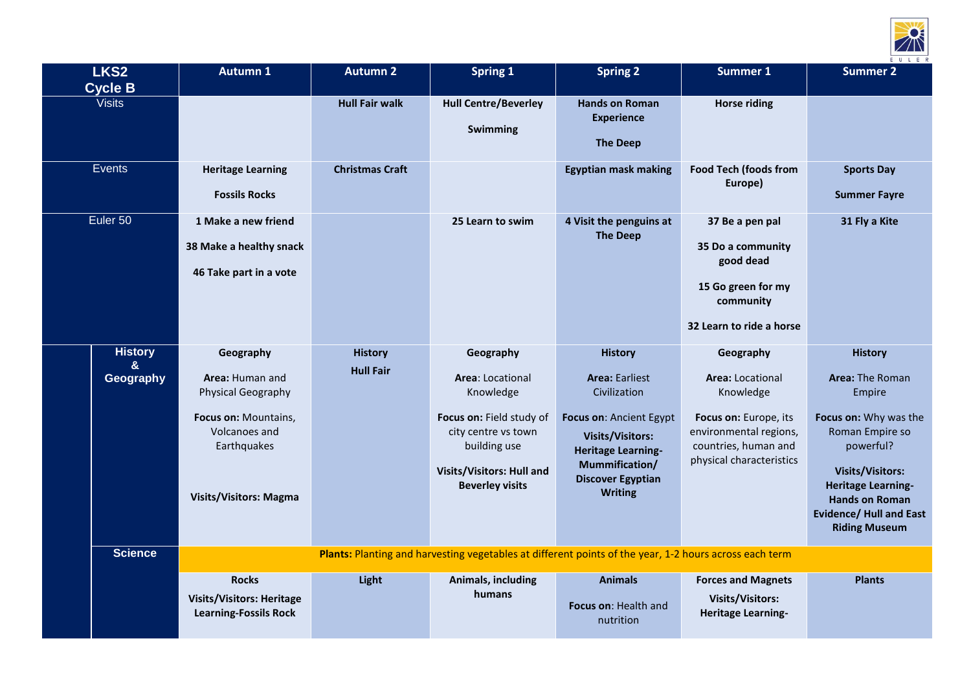

| LKS <sub>2</sub><br><b>Cycle B</b> | <b>Autumn 1</b>                                                                                                                                    | <b>Autumn 2</b>                                                                                        | <b>Spring 1</b>                                                                                                                                                                    | <b>Spring 2</b>                                                                                                                                                                                            | Summer 1                                                                                                                                                 | <b>Summer 2</b>                                                                                                                                                                                                                                        |
|------------------------------------|----------------------------------------------------------------------------------------------------------------------------------------------------|--------------------------------------------------------------------------------------------------------|------------------------------------------------------------------------------------------------------------------------------------------------------------------------------------|------------------------------------------------------------------------------------------------------------------------------------------------------------------------------------------------------------|----------------------------------------------------------------------------------------------------------------------------------------------------------|--------------------------------------------------------------------------------------------------------------------------------------------------------------------------------------------------------------------------------------------------------|
| <b>Visits</b>                      |                                                                                                                                                    | <b>Hull Fair walk</b>                                                                                  | <b>Hull Centre/Beverley</b><br>Swimming                                                                                                                                            | <b>Hands on Roman</b><br><b>Experience</b><br><b>The Deep</b>                                                                                                                                              | <b>Horse riding</b>                                                                                                                                      |                                                                                                                                                                                                                                                        |
| Events                             | <b>Heritage Learning</b><br><b>Fossils Rocks</b>                                                                                                   | <b>Christmas Craft</b>                                                                                 |                                                                                                                                                                                    | <b>Egyptian mask making</b>                                                                                                                                                                                | <b>Food Tech (foods from</b><br>Europe)                                                                                                                  | <b>Sports Day</b><br><b>Summer Fayre</b>                                                                                                                                                                                                               |
| Euler 50                           | 1 Make a new friend<br>38 Make a healthy snack<br>46 Take part in a vote                                                                           |                                                                                                        | 25 Learn to swim                                                                                                                                                                   | 4 Visit the penguins at<br><b>The Deep</b>                                                                                                                                                                 | 37 Be a pen pal<br>35 Do a community<br>good dead<br>15 Go green for my<br>community<br>32 Learn to ride a horse                                         | 31 Fly a Kite                                                                                                                                                                                                                                          |
| <b>History</b><br>&<br>Geography   | Geography<br>Area: Human and<br>Physical Geography<br>Focus on: Mountains,<br><b>Volcanoes and</b><br>Earthquakes<br><b>Visits/Visitors: Magma</b> | <b>History</b><br><b>Hull Fair</b>                                                                     | Geography<br><b>Area: Locational</b><br>Knowledge<br>Focus on: Field study of<br>city centre vs town<br>building use<br><b>Visits/Visitors: Hull and</b><br><b>Beverley visits</b> | <b>History</b><br><b>Area: Earliest</b><br>Civilization<br>Focus on: Ancient Egypt<br><b>Visits/Visitors:</b><br><b>Heritage Learning-</b><br>Mummification/<br><b>Discover Egyptian</b><br><b>Writing</b> | Geography<br><b>Area: Locational</b><br>Knowledge<br>Focus on: Europe, its<br>environmental regions,<br>countries, human and<br>physical characteristics | <b>History</b><br><b>Area: The Roman</b><br>Empire<br>Focus on: Why was the<br>Roman Empire so<br>powerful?<br><b>Visits/Visitors:</b><br><b>Heritage Learning-</b><br><b>Hands on Roman</b><br><b>Evidence/ Hull and East</b><br><b>Riding Museum</b> |
| <b>Science</b>                     |                                                                                                                                                    | Plants: Planting and harvesting vegetables at different points of the year, 1-2 hours across each term |                                                                                                                                                                                    |                                                                                                                                                                                                            |                                                                                                                                                          |                                                                                                                                                                                                                                                        |
|                                    | <b>Rocks</b><br><b>Visits/Visitors: Heritage</b><br><b>Learning-Fossils Rock</b>                                                                   | Light                                                                                                  | Animals, including<br>humans                                                                                                                                                       | <b>Animals</b><br>Focus on: Health and<br>nutrition                                                                                                                                                        | <b>Forces and Magnets</b><br><b>Visits/Visitors:</b><br><b>Heritage Learning-</b>                                                                        | <b>Plants</b>                                                                                                                                                                                                                                          |